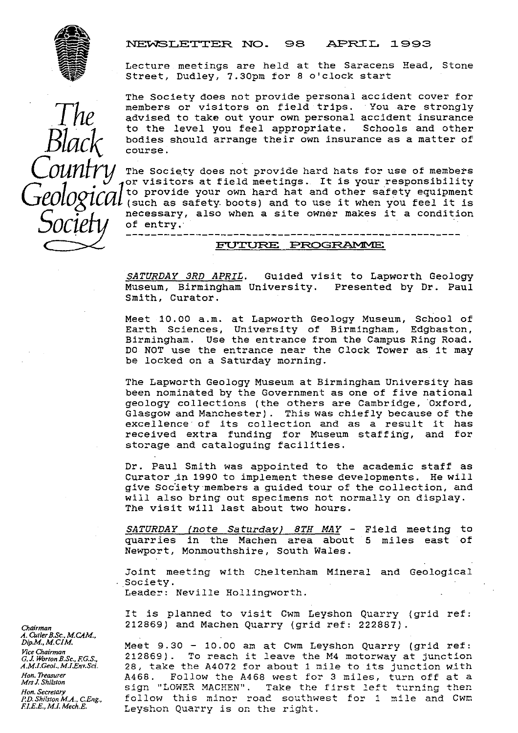

#### NEWSLETTER NO. 98 APRIL 1993

Lecture meetings are held at the Saracens Head, Stone Street, Dudley, 7.30pm for 8 o'clock start

The Society does not provide personal accident cover for members or visitors on field trips. You are strongly advised to take out your own personal accident insurance<br>to the level you feel appropriate. Schools and other to the level you feel appropriate. bodies should arrange their own insurance as a matter of course.

The Society does not provide hard hats for use of members Ine society does not provide hard hats for did of members<br>or visitors at field meetings. It is your responsibility  $Geological$  (such as safety boots) and to use it when you feel it is (such as safety boots) and to use it when you feel it is *OCIETV* necessary, also when a site owner makes it a condition<br>*OCIETV* of entry. of entry.

#### FUTURE PROGRAMME

*SATURDAY 3RD APRIL .* Guided visit to Lapworth Geology Museum, Birmingham University. Presented by Dr. Paul Smith, Curator.

Meet 10.00 a.m. at Lapworth Geology Museum, School of Earth Sciences, University of Birmingham, Edgbaston, Birmingham. Use the entrance from the Campus Ring Road. DO NOT use the entrance near the Clock Tower as it may be locked on a Saturday morning.

The Lapworth Geology Museum at Birmingham University has been nominated by the Government as one of five national geology collections (the others are Cambridge, Oxford, Glasgow and Manchester). This was chiefly because of the excellence of its collection and as a result it has received extra funding for Museum staffing, and for storage and cataloguing facilities.

Dr. Paul Smith was appointed to the academic staff as Curator in 1990 to implement these developments. He will give Society members a guided tour of the collection, and will also bring out specimens not normally on display. The visit will last about two hours.

SATURDAY (note Saturday) 8TH MAY - Field meeting to quarries in the Machen area about 5 miles east of Newport, Monmouthshire, South Wales.

Joint meeting with Cheltenham Mineral and Geological Society. Leader: Neville Hollingworth.

It is planned to visit Cwm Leyshon Quarry (grid ref: *Chairman* 212869) and Machen Quarry (grid ref: 222887) .

Meet 9.30 - 10.00 am at Cwm Leyshon Quarry (grid ref: *G.J. Worton B.Sc., F.G.S.,* 212869). To reach it leave the M4 motorway at junction<br>A.M.I.Geol., M.J.Env.Sci. 28. take the A4072 for about 1 mile to its junction with *A.M.LGeol..M.LEnv.Sci\_* 28, take the A4072 for about 1 mile to its junction with Hon.*Treasurer ...* A468. Follow the A468 west for 3 miles, turn off at a *Mrs J. Shilston* sign "LOWER MACHEN". Take the first left turning then *Hon. Secretary* ... Sign "LOWER MACHEN". Take the first left turning then *P.D.Shilsion M.A.,CEng.,* follow this minor road southwest for <sup>1</sup> mile and Cwm Leyshon Quarry is on the right.

*A. CutlerB.Sc., M. CAM., ViceChairnan*

• Black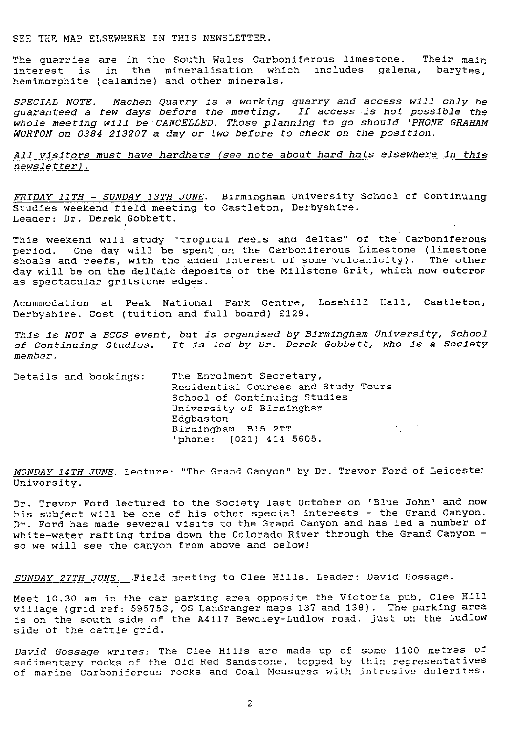SEE THE MAP ELSEWHERE IN THIS NEWSLETTER.

The quarries are in the South Wales Carboniferous limestone. Their main interest is in the mineralisation which includes galena, barytes, hemimorphite (calamine) and other minerals.

*SPECIAL NOTE. Machen Quarry is a working quarry and access will only he* diagrams in the mandays before the meeting. If access is not possible the *whole meeting will be CANCELLED. Those* planning to *go should 'PHONE GRAHAM* WORTON on 0384 213207 a day or *two* before to check on the position.

*All visitors must have hardhats (see* note about hard hats elsewhere in this <u>AIT VISITOFS must have hardnats (see hote about hard hats eisewhere in this newsletter).</u><br>newsletter).

FRIDAY 11TH - SUNDAY 13TH JUNE. Birmingham University School of Continuing Studies weekend field meeting to Castleton, Derbyshire. Leader: Dr. Derek Gobbett.

This weekend will study "tropical reefs and deltas" of the Carboniferous period. One day will be spent on the Carboniferous Limestone (limestone shoals and reefs, with the added interest of some'volcanicity). The other day will be on the deltaic **deposits** of the Millstone Grit, which now outcror as spectacular gritstone edges.

Acommodation at Peak National Park Centre, Losehill Hall, Castleton, Derbyshire. Cost (tuition and full board) £129.

This is NOT a BCGS *event, but is organised by Birmingham University, School* of Continuing Studies. It is led by Dr. *Derek Gobbett,* who is **a** Society *member.*

Details and bookings: The Enrolment Secretary, Residential Courses and Study Tours School of Continuing Studies University of Birmingham Edgbaston Birmingham B15 2TT 'phone: (021) 414 5605.

*MONDAY 14TH JUNE*. Lecture: "The Grand Canyon" by Dr. Trevor Ford of Leiceste: University.

Dr. Trevor Ford lectured to the Society last October on 'Blue John' and now his subject will be one of his other special interests - the Grand Canyon. Dr. Ford has made several visits to the Grand Canyon and has led a number of white-water rafting trips down the Colorado River through the Grand Canyon so we will see the canyon from above and below!

*SUNDAY 27TH JUNE.* .Field meeting to Clee Hills. Leader: David Gossage.

Meet 10.30 am in the car parking area opposite the Victoria pub, Clee *Hill* village (grid ref: 595753, OS Landranger maps 137 and 138). The parking area is on the south side of the A4117 Bewdley-Ludlow road, just on the Ludlow side of the cattle grid.

*David Gossage* writes: The Clee Hills are made up of some 1100 metres of sedimentary rocks of the Old Red Sandstone, topped by thin representatives of marine Carboniferous rocks and Coal Measures with intrusive dolerites.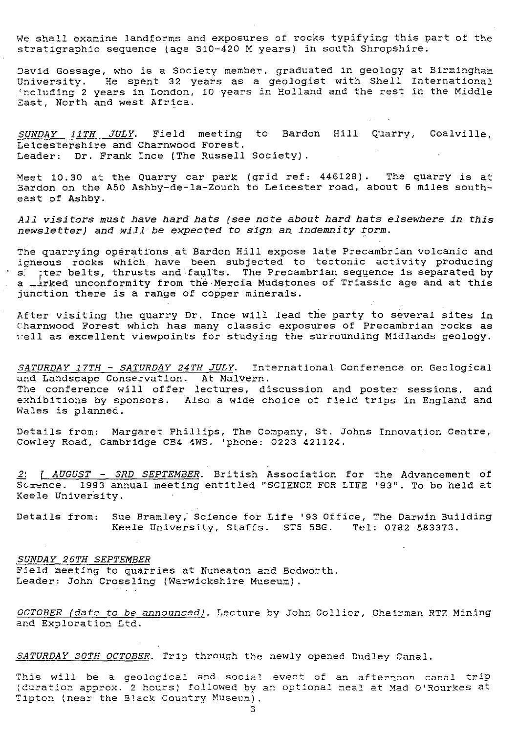We shall examine landforms and exposures of rocks typifying this part of the stratigraphic sequence (age 310-420 M years) in south Shropshire.

David Gossage, who is a Society member, graduated in geology at Birmingham University. He spent 32 years as a geologist with Shell International including 2 years in London, 10 years in Holland and the rest in the Middle East, North and west Africa.

*SUNDAY 11TH* JULY. Field meeting to Bardon Hill Quarry, Coalville, Leicestershire and Charnwood Forest. Leader: Dr. Frank Ince (The Russell Society).

Meet 10.30 at the Quarry car park (grid ref: 446128). The quarry is at Eardon on the A50 Ashby-de-la-Zouch to Leicester road, about 6 miles southeast of Ashby.

*All visitors must have hard hats (see note about hard hats elsewhere in this* newsletter) and will be expected to sign an indemnity form.

The quarrying operations at Bardon Hill expose late Precambrian volcanic and Igneous rocks which. have been subjected to tectonic activity producing s: `ter belts, *thrusts* and-faults. The Precambrian sequence is separated by a *\_irked unconformity from the Mercia Mudstones of Triassic age and at this* junction there is a range of copper minerals.

After visiting the quarry Dr. Ince will lead the party to several sites in Charnwood Forest *which has* many classic exposures of Precambrian rocks as  $well$  as excellent viewpoints for studying the surrounding Midlands geology.

SATURDAY 17TH - SATURDAY 24TH JULY. International Conference on Geological and Landscape Conservation. At Malvern. The conference will offer lectures, discussion and poster sessions, and exhibitions by sponsors. Also a wide choice of field trips in England and Wales is planned.

Details from: Margaret Phillips, The Company, St. Johns Innovation Centre, Cowley Road, Cambridge CB4 4WS. 'phone: 0223 421124.

*2: AUGUST -\_ 3RD SEPTEMBER .* British Association for the Advancement of 1993 annual meeting entitled "SCIENCE FOR LIFE '93". To be held at Keele University.

Details from: Sue Bramley, Science for Life '93 Office, The Darwin Building Keele University, Staffs. ST5 5BG. Tel: 0782 583373.

#### *SUNDAY 26TH SEPTEMBER*

Field meeting to quarries at Nuneaton and Bedworth. Leader: John Crossling (Warwickshire Museum).

*OCTOBER (date to be announced) .* Lecture by John Collier, Chairman RTZ Mining and Exploration Ltd.

*SATURDAY 30TH OCTOBER . Trip* through the newly opened Dudley Canal.

This will be a geological and social event of an afternoon canal trip I daration approx. 2 hours) followed by an optional meal at Mad O'Rourkes at Tipton (near the Black Country Museum).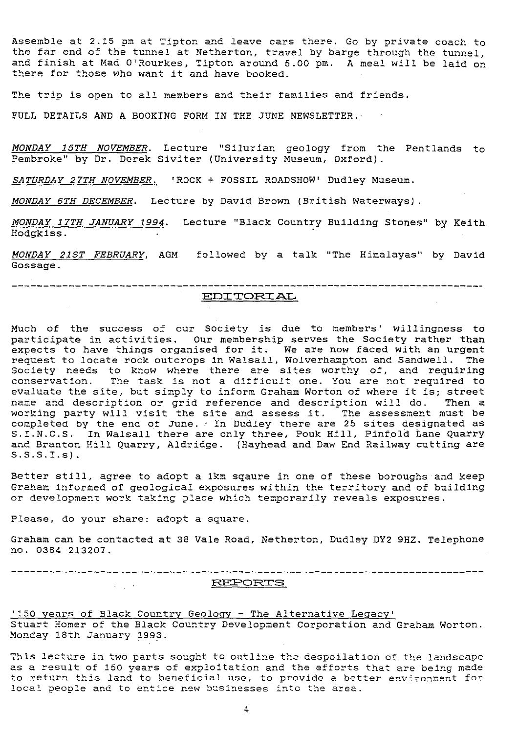Assemble at 2.15 pm at Tipton and leave cars there. Go by private coach to the far end of the tunnel at Netherton, travel by barge through the tunnel, and finish at Mad O'Rourkes, Tipton around 5.00 pm. A meal will be laid on there for those who want it and have booked.

The trip is open to all members and their families and friends.

FULL DETAILS AND A BOOKING FORM IN THE JUNE NEWSLETTER.

MONDAY 15TH NOVEMBER. Lecture "Silurian geology from the Pentlands to Pembroke" by Dr. Derek Siviter (University Museum, Oxford).

SATURDAY 27TH NOVEMBER. 'ROCK + FOSSIL ROADSHOW' Dudley Museum.

MONDAY 6TH DECEMBER. Lecture by David Brown (British Waterways).

*MONDAY 17TH JANUARY 1994.* Lecture "Black Country Building Stones" by Keith Hodgkiss.

MONDAY 21ST FEBRUARY, AGM followed by a talk "The Himalayas" by David Gossage.

# EIJ2 TORT AL.

Much of the success of our Society is due to members' willingness to participate in activities. Our membership serves the Society rather than expects to have things organised for it. We are now faced with an urgent request to locate rock outcrops in Walsall, Wolverhampton and Sandwell. The Society reeds to know where there are sites worthy of, and requiring conservation. The task is not a difficult one. You are not re<sup>q</sup> uired to evaluate the site, but simply to inform Graham Worton of where it is; stree name and description or grid reference and description will do. Then a working party will visit the site and assess it. The assessment must be completed by the end of June. Aln Dudley there are 25 sites designated as S.I.N.C.S. In Walsall there are only three, Pouk Hill, Pinfold Lane Quarry and Branton Hill Quarry, Aldridge. (Hayhead and Daw End Railway cutting are  $S.S.S.I.s$ ).

Better still, agree to adopt a 1km sqaure in one of these boroughs and keep Graham informed of geological exposures within the territory and of building or develo<sup>p</sup> ment work taking place which temporarily reveals exposures.

Please, do your share: adopt a square.

Graham can be contacted at 38 Vale Road, Netherton, Dudley DY2 9HZ. Telephone no. 0384 213207.

\_\_\_\_\_\_\_\_\_\_\_\_\_\_\_\_\_\_\_\_\_\_\_\_\_\_\_\_\_\_\_\_\_\_\_\_ REPORTS  $\mathcal{L}(\mathcal{L}^{\mathcal{L}})$  , where  $\mathcal{L}^{\mathcal{L}}$ 

'150 years of Black Country Geology - The Alternative Legacy Stuart Homer of the Black Country Development Corporation and Graham Worton. Monday 18th January 1993.

This lecture in two parts sought to outline the despoilation of the landscape as a result of 150 years of exploitation and the efforts that are being made to return this land to beneficial use, to provide a better environment for local people and to entice new businesses into the area.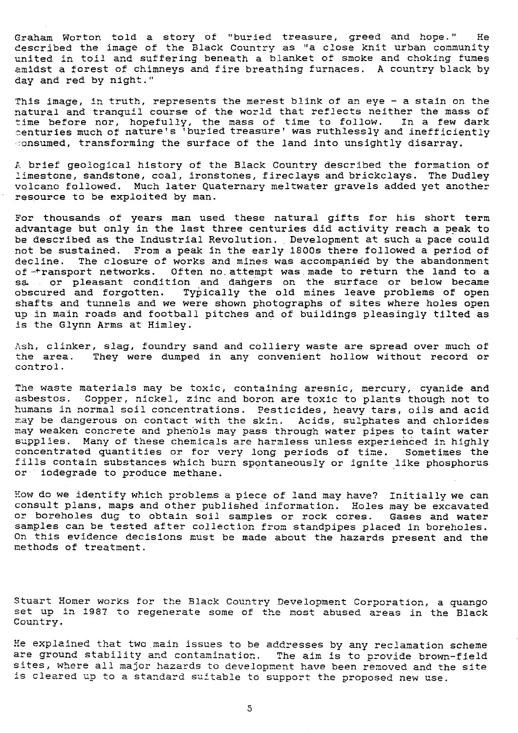Graham Worton told a story of "buried treasure, greed and hope." He described the image of the Black Country as "a close knit urban community united in toil and suffering beneath a blanket of smoke and choking fumes amidst a forest of chimneys and fire breathing furnaces. A country black by day and red by night."

This image, in truth, represents the merest blink of an eye - a stain on the natural and tranquil course of the world that reflects neither the mass of time before nor, hopefully, the mass of time to follow. In a few dark enturies much of nature's 'buried treasure' was ruthlessly and inefficiently onsumed, transforming the surface of the land into unsightly disarray.

A brief geological history of the Black Country described the formation of limestone, sandstone, coal, ironstones, fireclays and brickclays. The Dudley volcano followed. Much later Quaternary meltwater gravels added yet another resource to be exploited by man.

For thousands of years man used these natural gifts for his short term advantage but only in the last three centuries did activity reach a peak to be described as the Industrial Revolution. Development at such a pace could not be sustained. From a peak in the early 1800s there followed a period of decline. The closure of works and mines was accompanied by the abandonment deciine. The closure of works and mines was accompanied by the abandonmen<br>of -transport networks. Often no attempt was made to return the land to a sa, or pleasant condition and dangers on the surface or below became obscured and forgotten. Typically the old mines leave problems of open shafts and tunnels and we were shown photographs of sites where holes open up in main roads and football pitches and of buildings pleasingly tilted as is the Glynn Arms at Himley.

Ash, clinker, slag, foundry sand and colliery waste are spread over much of the area. They were dumped in any convenient hollow without record or They were dumped in any convenient hollow without record or control.

The waste materials may be toxic, containing aresnic, mercury, cyanide and asbestos. Copper, nickel, zinc and boron are toxic to plants though *not* to humans in normal soil concentrations. Pesticides, heavy tars, oils and acid may be dangerous on contact with the skin. Acids, sulphates and chlorides may weaken concrete and phenols may pass through water pipes to taint water supplies. Many of these chemicals are harmless unless experienced in highly concentrated quantities or for very long periods of time. Sometimes the fills contain substances which burn spontaneously or ignite like phosphorus or iodegrade to produce methane.

How do we identify which problems a piece of land may have? Initially we *can* consult plans, maps and other published information. Holes may be excavated or boreholes dug to obtain soil samples or rock cores. Gases and water samples can be tested after collection from standpipes placed in boreholes. On this evidence decisions must be made about the hazards present and the methods of treatment.

Stuart Homer works for the Black Country Development Corporation, a quango set up in 1987 to regenerate some of the most abused areas in the Black Country.

He explained that two main issues to be addresses by any reclamation scheme *are ground* stability and contamination.. The *aim is* to provide brown-field sites, where all major hazards to development have been removed and the site is cleared up to a standard suitable to support the *proposed new use.*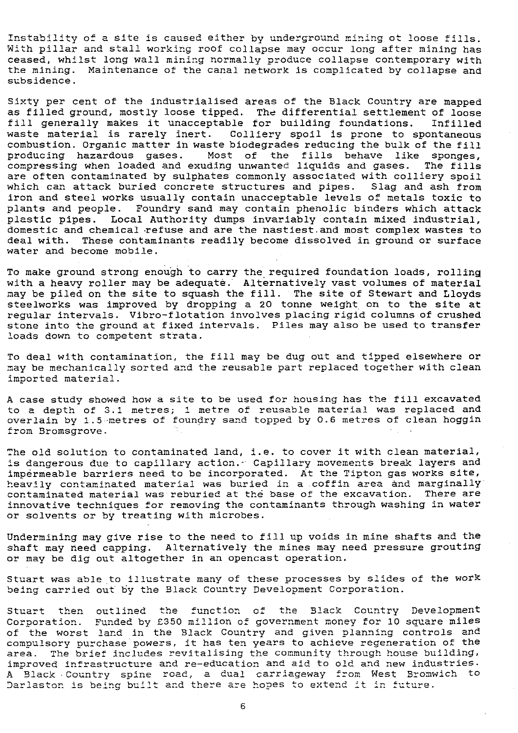Instability of a site is caused either by underground mining of loose fills. With pillar and stall working roof collapse may occur long after mining has ceased, whilst long wall mining normally produce collapse contemporary with the mining. Maintenance of the canal network is complicated by collapse and subsidence.

Sixty per cent of the industrialised areas of the Black Country are mapped as filled ground, mostly loose tipped. The differential settlement of loose fill generally makes it unacceptable for building foundations. Infilled waste material is rarely inert. Colliery spoil is prone to spontaneous combustion. Organic matter in waste biodegrades reducing the bulk of the fill producing hazardous gases. Most of the fills behave like sponges, compressing when loaded and exuding unwanted liquids and gases. The fills are often contaminated by sulphates commonly associated with colliery spoil *which can* attack buried concrete structures and pipes. Slag and ash from iron and steel works usually contain unacceptable levels of metals toxic to plants and people. Foundry sand may contain phenolic binders which attack plastic pipes. Local Authority dumps invariably contain mixed industrial, domestic and chemical refuse and are the nastiest.and most complex wastes to deal with. These contaminants readily become dissolved in ground or surface water and become mobile.

To make ground strong enough to carry the required foundation loads, rolling with a heavy roller may be adequate. Alternatively vast volumes of material may be piled on the site to squash the fill. The site of Stewart and Lloyds steelworks was improved *by* dropping a 20 tonne weight on to the site at regular intervals. Vibro-flotation involves placing rigid columns of crushed stone into the ground at fixed intervals. Piles may also be used to transfer loads down to competent strata.

To deal with contamination, the fill may be dug out *and* tipped elsewhere or may be mechanically sorted and the reusable part replaced together with clean imported material.

A case study showed how a site to be used for housing has the fill excavated to a depth of 3.1 metres; 1 metre of reusable material was replaced and overlain by 1.5-metres of foundry sand topped by 0.6 metres of clean hoggin from Bxomsgrove.

The old solution to contaminated land, i.e. to cover it with clean material, is dangerous due to capillary action. Capillary movements break layers and impermeable barriers need to be incorporated. At the Tipton gas works site, heavily contaminated material was buried in a.coffin *area* and marginally contaminated material was reburied at the base of the excavation. There are innovative techniques for removing the contaminants through washing in water or solvents or by treating with microbes.

Undermining may give rise to the need to fill up voids in mine shafts and the shaft may reed capping. Alternatively the mines may need pressure grouting or may be dig out altogether in an opencast operation.

Stuart was able to illustrate many of these processes by slides of the work being carried out *by* the Black Country Development Corporation.

Stuart then *outlined* the function of the Black Country Development Corporation. Funded by €350 million of government money for 10 square miles of the worst land in the Black Country and given planning controls and com p ulsory purchase powers, it has ten years to achieve regeneration of the area. The brief includes revitalising the community through house building, improved infrastructure and re-education and aid to old and new industries. A Black - Country spine road, a dual carriageway from West Bromwich to Level of the contract of the contract of the contract of the contract of the part of the part of the part of the contract of the contract of the contract of the contract of the contract of the contract of the contract of t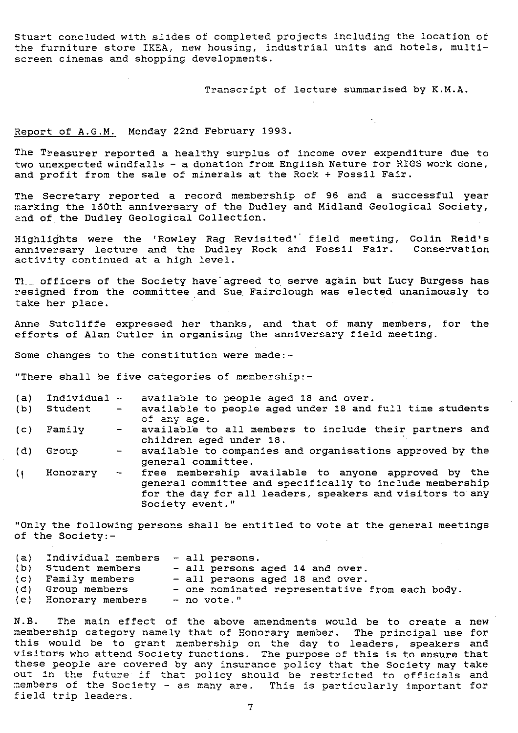Stuart concluded with slides of completed projects including the location of the furniture store IKEA, new housing, industrial units and hotels, multiscreen cinemas and shopping developments.

Transcript of lecture summarised by K.M.A.

### Report of A.G.M. Monday 22nd February 1993.

The Treasurer reported a healthy surplus of income over expenditure due to two unexpected windfalls - a donation from English Nature for RIGS work done, and profit from the sale of minerals at the Rock + Fossil Fair.

The Secretary reported a record membership of 96 and a successful year marking the 150th anniversary of the Dudley and Midland Geological Society, and of the Dudley Geological Collection.

Highlights were the 'Rowley Rag Revisited' field meeting, Colin Reid's anniversary lecture and the Dudley Rock and Fossil Fair. Conservation activity continued at a high level.

TL\_\_ officers of the Society have agreed to. serve again but Lucy Burgess has resigned from the committee and Sue. Fairclough was elected unanimously to take her place.

Anne Sutcliffe expressed her thanks, and that of many members, for the efforts of Alan Cutler in organising the anniversary field meeting.

Some changes to the constitution were made:-

"There shall be five categories of membership:-

| (a)  | Individual - |                                                                                                                                                                                                                                                                                                                                                             | available to people aged 18 and over.                                                                                                                                                           |
|------|--------------|-------------------------------------------------------------------------------------------------------------------------------------------------------------------------------------------------------------------------------------------------------------------------------------------------------------------------------------------------------------|-------------------------------------------------------------------------------------------------------------------------------------------------------------------------------------------------|
| (b)  | Student      | $\sim$                                                                                                                                                                                                                                                                                                                                                      | available to people aged under 18 and full time students<br>of any age.                                                                                                                         |
| (C)  | Family       | $\frac{1}{2}$ and $\frac{1}{2}$                                                                                                                                                                                                                                                                                                                             | available to all members to include their partners and<br>children aged under 18.                                                                                                               |
| (d)  | Group        | $\frac{1}{2} \sum_{i=1}^n \frac{1}{2} \sum_{j=1}^n \frac{1}{2} \sum_{j=1}^n \frac{1}{2} \sum_{j=1}^n \frac{1}{2} \sum_{j=1}^n \frac{1}{2} \sum_{j=1}^n \frac{1}{2} \sum_{j=1}^n \frac{1}{2} \sum_{j=1}^n \frac{1}{2} \sum_{j=1}^n \frac{1}{2} \sum_{j=1}^n \frac{1}{2} \sum_{j=1}^n \frac{1}{2} \sum_{j=1}^n \frac{1}{2} \sum_{j=1}^n \frac{1}{2} \sum_{j=$ | available to companies and organisations approved by the<br>general committee.                                                                                                                  |
| $\{$ | Honorary     | $\frac{1}{2}$ and $\frac{1}{2}$ and $\frac{1}{2}$                                                                                                                                                                                                                                                                                                           | free membership available to anyone approved by the<br>general committee and specifically to include membership<br>for the day for all leaders, speakers and visitors to any<br>Society event." |

"Only the following persons shall be entitled to vote at the general meetings of the Society:-

| (a) | Individual members - all persons. |                                                |
|-----|-----------------------------------|------------------------------------------------|
|     | (b) Student members               | - all persons aged 14 and over.                |
|     | (c) Family members                | - all persons aged 18 and over.                |
|     | (d) Group members                 | - one nominated representative from each body. |
|     | (e) Honorary members              | - no vote."                                    |

N.B. The main effect of the above amendments would be to create a new membership category namely that of Honorary member. The principal use for this would be to grant membership on the day to leaders, speakers and visitors who attend Society *functions. The purpose of this is to* ensure that these people are covered by any insurance policy that the Society may take out in the future if that policy should be restricted *to* officials and members of the Society - as many are. This is particularly important for field trip leaders.

 $\overline{7}$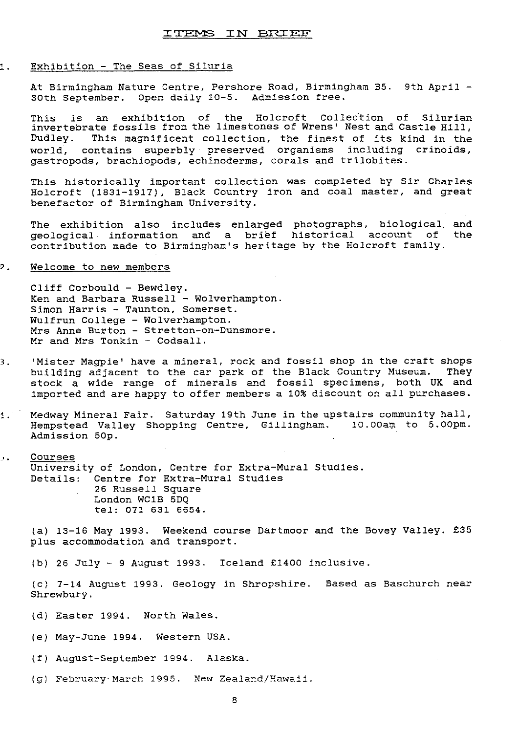### ITEMS IN BRIEF

#### . Exhibition - The Seas of Siluria

At Birmingham Nature Centre, Pershore Road, Birmingham B5. 9th April - 30th September. Open daily 10-5. Admission free.

This is an exhibition of the Holcroft Collection of Silurian invertebrate fossils from the limestones of Wrens' Nest and Castle Hill, Dudley. This magnificent collection, the finest of its kind in the world, contains superbly preserved organisms including erinoids, gastropods, brachiopods, echinoderms, corals and trilobites.

This historically important collection was completed by Sir Charles Holcroft (1831-1917), Black Country iron and coal master, and great benefactor of Birmingham University.

The exhibition also includes enlarged photographs, biological, and geological information and a brief historical account of the contribution made to Birmingham's heritage by the Holcroft family.

#### ?. Welcome to new members

Cliff Corbould - Bewdley. Ken and Barbara Russell - Wolverhampton. Simon Harris - Taunton, Somerset. Wulfrun College - Wolverhampton. Mrs Anne Burton - Stretton-on-Dunsmore. Mr and Mrs Tonkin - Codsall.

- 3. 'Mister Magpie' have a mineral, rock and fossil shop in the craft shops building adjacent to the car park of the Black Country Museum. They stock a wide range of minerals and fossil specimens, both UK and imported and are happy to offer members a 10% discount on all purchases.
- 1. Medway Mineral Fair. Saturday 19th June in the upstairs community hall, Hempstead Valley Shopping Centre, Gillingham. 10.00am to 5.00pm. Admission 50p.

# **. Courses** University of London, Centre for Extra-Mural Studies. Details: Centre for Extra-Mural Studies

26 Russell Square London WC1B 5DQ tel: 071 631 6654.

(a) 13-16 May 1993. Weekend course Dartmoor and the Bovey Valley. £35 plus accommodation and transport.

(b) 26 July - 9 August 1993. Iceland £1400 inclusive.

(c) 7-14 August 1993. Geology in Shropshire. Based as Baschurch near Shrewbury.

- (d) Easter 1994. North Wales.
- (e) May-June 1994. Western USA.
- (f) August-September 1994. Alaska.
- (g) February-March 1995. New Zealand/Hawaii.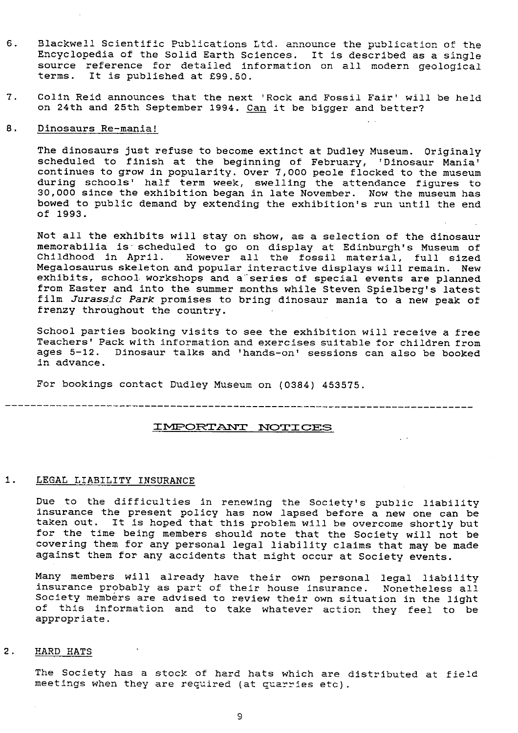- 6. Blackwell Scientific Publications Ltd. announce the publication of the Encyclopedia of the Solid Earth Sciences. It is described as a single source reference for detailed information on all modern geological terms. It is published at £99.50.
- 7. Colin Reid announces that the next 'Rock and Fossil Fair' will be held on 24th and 25th September 1994. Can it be bigger and better?

## 6. Dinosaurs Re-mania!

The dinosaurs just refuse to become extinct at Dudley Museum. Originaly scheduled to finish at the beginning of February, 'Dinosaur Mania' continues to grow in popularity. Over 7,000 peole flocked to the museum during schools' half term week, swelling the attendance figures to 30,000 since the exhibition began in late November. Now the museum has bowed to public demand by extending the exhibition's run until the end of 1993.

Not all the exhibits will stay on show, as a selection of the dinosaur memorabilia is scheduled to go on display at Edinburgh's Museum of Childhood in April. However all the fossil material, full sized Megalosaurus skeleton and popular interactive displays will remain. New exhibits, school workshops and a series of special events are planned from Easter and into the summer months while Steven Spielberg's latest film Jurassic Park promises to bring dinosaur mania to a new peak of frenzy throughout the country.

School parties booking visits to see the exhibition will receive a free Teachers' Pack with information and exercises suitable for children from ages 5-12. Dinosaur talks and 'hands-on' sessions can also be booked in advance.

For bookings contact Dudley Museum on (0384) 453575.

### IMPORTANT NOTICES

#### 1. LEGAL LIABILITY INSURANCE

Due to the difficulties in renewing the Society's public liability insurance the present policy has now lapsed before a new one can be taken out. It is hoped that this problem will be overcome shortly but for the time being members should note that the Society will not be covering them for any personal legal liability claims that may be made against them for any accidents that might occur at Society events.

Many members will already have their own personal legal liability insurance probably as part of their house insurance. Nonetheless all Society members are advised to review their own situation in the light of this information and to take whatever action they feel to be appropriate.

### 2. HARD HATS

The Society has a stock of hard hats which are distributed at field meetings when they are required (at quarries etc).